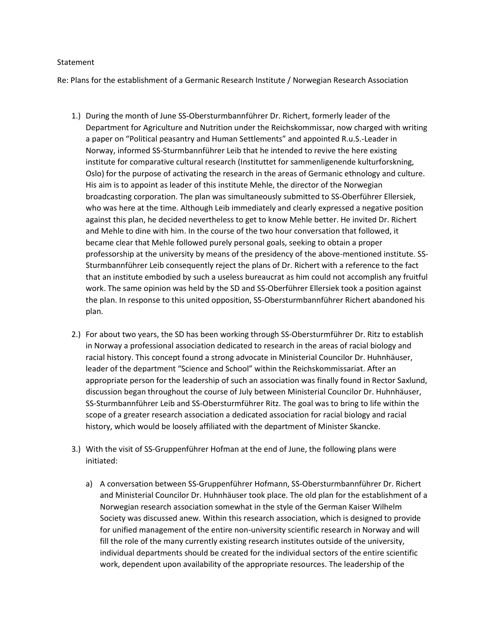## Statement

Re: Plans for the establishment of a Germanic Research Institute / Norwegian Research Association

- 1.) During the month of June SS-Obersturmbannführer Dr. Richert, formerly leader of the Department for Agriculture and Nutrition under the Reichskommissar, now charged with writing a paper on "Political peasantry and Human Settlements" and appointed R.u.S.-Leader in Norway, informed SS-Sturmbannführer Leib that he intended to revive the here existing institute for comparative cultural research (Instituttet for sammenligenende kulturforskning, Oslo) for the purpose of activating the research in the areas of Germanic ethnology and culture. His aim is to appoint as leader of this institute Mehle, the director of the Norwegian broadcasting corporation. The plan was simultaneously submitted to SS-Oberführer Ellersiek, who was here at the time. Although Leib immediately and clearly expressed a negative position against this plan, he decided nevertheless to get to know Mehle better. He invited Dr. Richert and Mehle to dine with him. In the course of the two hour conversation that followed, it became clear that Mehle followed purely personal goals, seeking to obtain a proper professorship at the university by means of the presidency of the above-mentioned institute. SS-Sturmbannführer Leib consequently reject the plans of Dr. Richert with a reference to the fact that an institute embodied by such a useless bureaucrat as him could not accomplish any fruitful work. The same opinion was held by the SD and SS-Oberführer Ellersiek took a position against the plan. In response to this united opposition, SS-Obersturmbannführer Richert abandoned his plan.
- 2.) For about two years, the SD has been working through SS-Obersturmführer Dr. Ritz to establish in Norway a professional association dedicated to research in the areas of racial biology and racial history. This concept found a strong advocate in Ministerial Councilor Dr. Huhnhäuser, leader of the department "Science and School" within the Reichskommissariat. After an appropriate person for the leadership of such an association was finally found in Rector Saxlund, discussion began throughout the course of July between Ministerial Councilor Dr. Huhnhäuser, SS-Sturmbannführer Leib and SS-Obersturmführer Ritz. The goal was to bring to life within the scope of a greater research association a dedicated association for racial biology and racial history, which would be loosely affiliated with the department of Minister Skancke.
- 3.) With the visit of SS-Gruppenführer Hofman at the end of June, the following plans were initiated:
	- a) A conversation between SS-Gruppenführer Hofmann, SS-Obersturmbannführer Dr. Richert and Ministerial Councilor Dr. Huhnhäuser took place. The old plan for the establishment of a Norwegian research association somewhat in the style of the German Kaiser Wilhelm Society was discussed anew. Within this research association, which is designed to provide for unified management of the entire non-university scientific research in Norway and will fill the role of the many currently existing research institutes outside of the university, individual departments should be created for the individual sectors of the entire scientific work, dependent upon availability of the appropriate resources. The leadership of the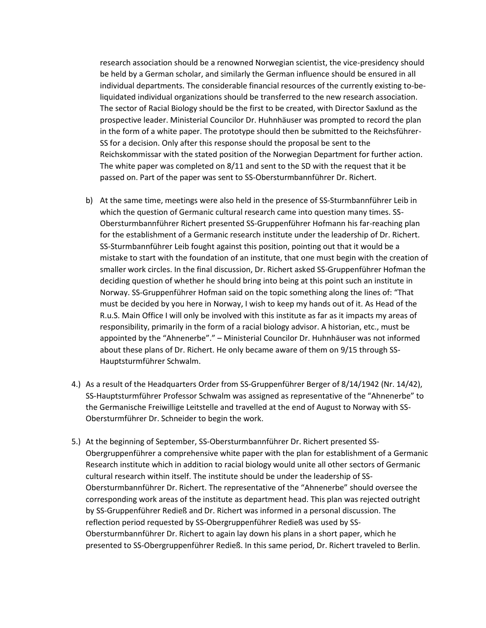research association should be a renowned Norwegian scientist, the vice-presidency should be held by a German scholar, and similarly the German influence should be ensured in all individual departments. The considerable financial resources of the currently existing to-beliquidated individual organizations should be transferred to the new research association. The sector of Racial Biology should be the first to be created, with Director Saxlund as the prospective leader. Ministerial Councilor Dr. Huhnhäuser was prompted to record the plan in the form of a white paper. The prototype should then be submitted to the Reichsführer-SS for a decision. Only after this response should the proposal be sent to the Reichskommissar with the stated position of the Norwegian Department for further action. The white paper was completed on 8/11 and sent to the SD with the request that it be passed on. Part of the paper was sent to SS-Obersturmbannführer Dr. Richert.

- b) At the same time, meetings were also held in the presence of SS-Sturmbannführer Leib in which the question of Germanic cultural research came into question many times. SS-Obersturmbannführer Richert presented SS-Gruppenführer Hofmann his far-reaching plan for the establishment of a Germanic research institute under the leadership of Dr. Richert. SS-Sturmbannführer Leib fought against this position, pointing out that it would be a mistake to start with the foundation of an institute, that one must begin with the creation of smaller work circles. In the final discussion, Dr. Richert asked SS-Gruppenführer Hofman the deciding question of whether he should bring into being at this point such an institute in Norway. SS-Gruppenführer Hofman said on the topic something along the lines of: "That must be decided by you here in Norway, I wish to keep my hands out of it. As Head of the R.u.S. Main Office I will only be involved with this institute as far as it impacts my areas of responsibility, primarily in the form of a racial biology advisor. A historian, etc., must be appointed by the "Ahnenerbe"." – Ministerial Councilor Dr. Huhnhäuser was not informed about these plans of Dr. Richert. He only became aware of them on 9/15 through SS-Hauptsturmführer Schwalm.
- 4.) As a result of the Headquarters Order from SS-Gruppenführer Berger of 8/14/1942 (Nr. 14/42), SS-Hauptsturmführer Professor Schwalm was assigned as representative of the "Ahnenerbe" to the Germanische Freiwillige Leitstelle and travelled at the end of August to Norway with SS-Obersturmführer Dr. Schneider to begin the work.
- 5.) At the beginning of September, SS-Obersturmbannführer Dr. Richert presented SS-Obergruppenführer a comprehensive white paper with the plan for establishment of a Germanic Research institute which in addition to racial biology would unite all other sectors of Germanic cultural research within itself. The institute should be under the leadership of SS-Obersturmbannführer Dr. Richert. The representative of the "Ahnenerbe" should oversee the corresponding work areas of the institute as department head. This plan was rejected outright by SS-Gruppenführer Redieß and Dr. Richert was informed in a personal discussion. The reflection period requested by SS-Obergruppenführer Redieß was used by SS-Obersturmbannführer Dr. Richert to again lay down his plans in a short paper, which he presented to SS-Obergruppenführer Redieß. In this same period, Dr. Richert traveled to Berlin.